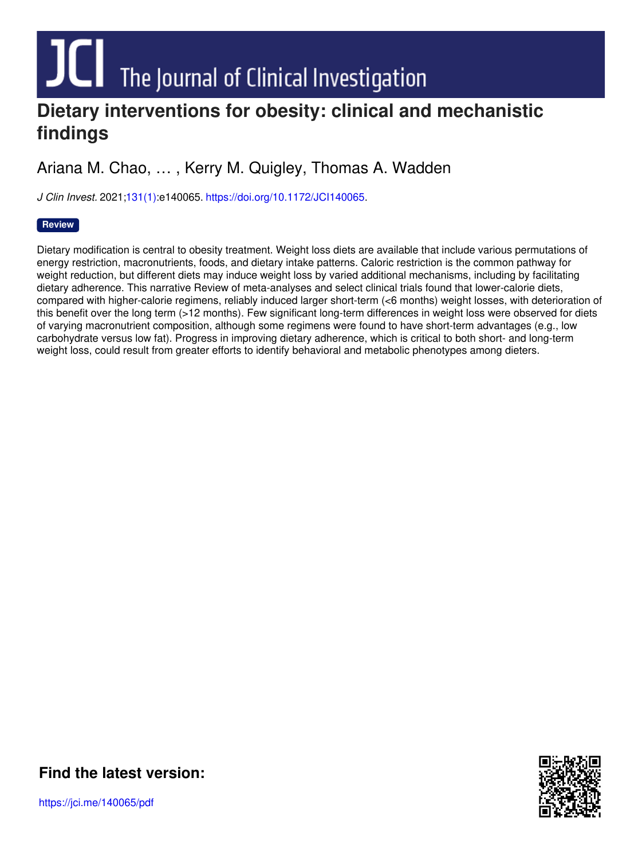# **DIE The Journal of Clinical Investigation**<br>Dietary interventions for obesity: clinical and mechanistic

## **findings**

Ariana M. Chao, … , Kerry M. Quigley, Thomas A. Wadden

*J Clin Invest.* 2021[;131\(1\)](http://www.jci.org/131/1?utm_campaign=cover-page&utm_medium=pdf&utm_source=content):e140065. <https://doi.org/10.1172/JCI140065>.

#### **[Review](http://www.jci.org/tags/2?utm_campaign=cover-page&utm_medium=pdf&utm_source=content)**

Dietary modification is central to obesity treatment. Weight loss diets are available that include various permutations of energy restriction, macronutrients, foods, and dietary intake patterns. Caloric restriction is the common pathway for weight reduction, but different diets may induce weight loss by varied additional mechanisms, including by facilitating dietary adherence. This narrative Review of meta-analyses and select clinical trials found that lower-calorie diets, compared with higher-calorie regimens, reliably induced larger short-term (<6 months) weight losses, with deterioration of this benefit over the long term (>12 months). Few significant long-term differences in weight loss were observed for diets of varying macronutrient composition, although some regimens were found to have short-term advantages (e.g., low carbohydrate versus low fat). Progress in improving dietary adherence, which is critical to both short- and long-term weight loss, could result from greater efforts to identify behavioral and metabolic phenotypes among dieters.



**Find the [latest](https://jci.me/140065/pdf) version:**

https://jci.me/140065/pdf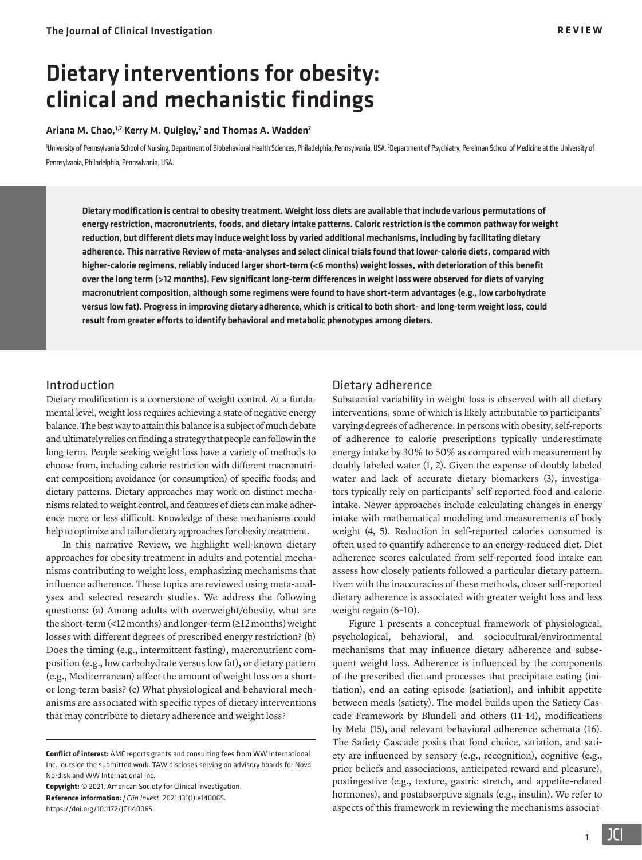### Dietary interventions for obesity: clinical and mechanistic findings

#### Ariana M. Chao, $^{1,2}$  Kerry M. Quigley, $^2$  and Thomas A. Wadden $^2$

'University of Pennsylvania School of Nursing, Department of Biobehavioral Health Sciences, Philadelphia, Pennsylvania, USA. <sup>2</sup>Department of Psychiatry, Perelman School of Medicine at the University of Pennsylvania, Philadelphia, Pennsylvania, USA.

Dietary modification is central to obesity treatment. Weight loss diets are available that include various permutations of energy restriction, macronutrients, foods, and dietary intake patterns. Caloric restriction is the common pathway for weight reduction, but different diets may induce weight loss by varied additional mechanisms, including by facilitating dietary adherence. This narrative Review of meta-analyses and select clinical trials found that lower-calorie diets, compared with higher-calorie regimens, reliably induced larger short-term (<6 months) weight losses, with deterioration of this benefit over the long term (>12 months). Few significant long-term differences in weight loss were observed for diets of varying macronutrient composition, although some regimens were found to have short-term advantages (e.g., low carbohydrate versus low fat). Progress in improving dietary adherence, which is critical to both short- and long-term weight loss, could result from greater efforts to identify behavioral and metabolic phenotypes among dieters.

#### Introduction

Dietary modification is a cornerstone of weight control. At a fundamental level, weight loss requires achieving a state of negative energy balance. The best way to attain this balance is a subject of much debate and ultimately relies on finding a strategy that people can follow in the long term. People seeking weight loss have a variety of methods to choose from, including calorie restriction with different macronutrient composition; avoidance (or consumption) of specific foods; and dietary patterns. Dietary approaches may work on distinct mechanisms related to weight control, and features of diets can make adherence more or less difficult. Knowledge of these mechanisms could help to optimize and tailor dietary approaches for obesity treatment.

In this narrative Review, we highlight well-known dietary approaches for obesity treatment in adults and potential mechanisms contributing to weight loss, emphasizing mechanisms that influence adherence. These topics are reviewed using meta-analyses and selected research studies. We address the following questions: (a) Among adults with overweight/obesity, what are the short-term (<12 months) and longer-term (≥12 months) weight losses with different degrees of prescribed energy restriction? (b) Does the timing (e.g., intermittent fasting), macronutrient composition (e.g., low carbohydrate versus low fat), or dietary pattern (e.g., Mediterranean) affect the amount of weight loss on a shortor long-term basis? (c) What physiological and behavioral mechanisms are associated with specific types of dietary interventions that may contribute to dietary adherence and weight loss?

**Copyright:** © 2021, American Society for Clinical Investigation. **Reference information:** *J Clin Invest*. 2021;131(1):e140065. https://doi.org[/10.1172/JCI140065.](https://doi.org/10.1172/JCI140065)

#### Dietary adherence

Substantial variability in weight loss is observed with all dietary interventions, some of which is likely attributable to participants' varying degrees of adherence. In persons with obesity, self-reports of adherence to calorie prescriptions typically underestimate energy intake by 30% to 50% as compared with measurement by doubly labeled water [\(1](#page-8-0), [2](#page-8-1)). Given the expense of doubly labeled water and lack of accurate dietary biomarkers [\(3](#page-8-2)), investigators typically rely on participants' self-reported food and calorie intake. Newer approaches include calculating changes in energy intake with mathematical modeling and measurements of body weight [\(4](#page-8-3), [5\)](#page-8-4). Reduction in self-reported calories consumed is often used to quantify adherence to an energy-reduced diet. Diet adherence scores calculated from self-reported food intake can assess how closely patients followed a particular dietary pattern. Even with the inaccuracies of these methods, closer self-reported dietary adherence is associated with greater weight loss and less weight regain ([6](#page-8-5)–[10](#page-8-6)).

[Figure 1](#page-2-0) presents a conceptual framework of physiological, psychological, behavioral, and sociocultural/environmental mechanisms that may influence dietary adherence and subsequent weight loss. Adherence is influenced by the components of the prescribed diet and processes that precipitate eating (initiation), end an eating episode (satiation), and inhibit appetite between meals (satiety). The model builds upon the Satiety Cascade Framework by Blundell and others [\(11](#page-8-7)[–14\)](#page-8-8), modifications by Mela ([15\)](#page-8-9), and relevant behavioral adherence schemata [\(16\)](#page-8-10). The Satiety Cascade posits that food choice, satiation, and satiety are influenced by sensory (e.g., recognition), cognitive (e.g., prior beliefs and associations, anticipated reward and pleasure), postingestive (e.g., texture, gastric stretch, and appetite-related hormones), and postabsorptive signals (e.g., insulin). We refer to aspects of this framework in reviewing the mechanisms associat-

1

**Conflict of interest:** AMC reports grants and consulting fees from WW International Inc., outside the submitted work. TAW discloses serving on advisory boards for Novo Nordisk and WW International Inc.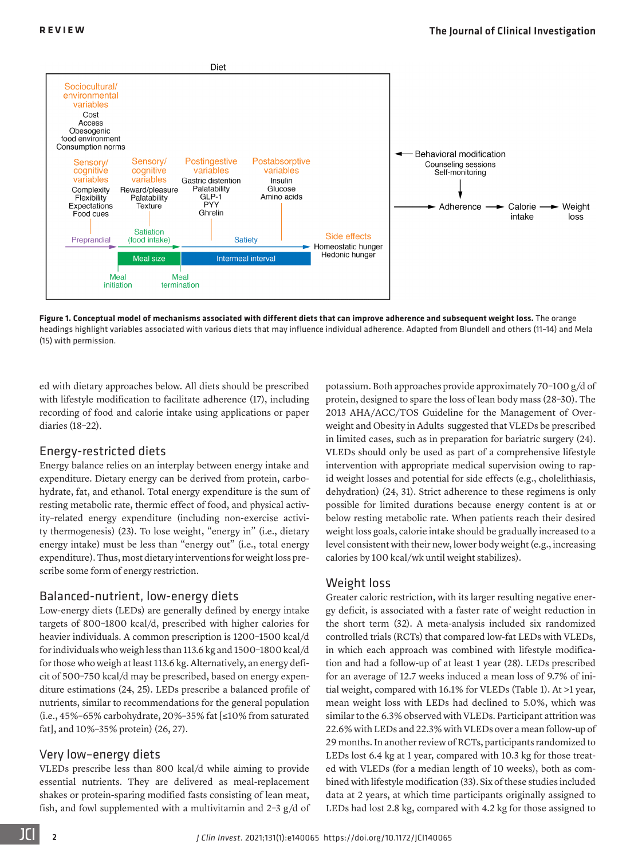<span id="page-2-0"></span>

**Figure 1. Conceptual model of mechanisms associated with different diets that can improve adherence and subsequent weight loss.** The orange headings highlight variables associated with various diets that may influence individual adherence. Adapted from Blundell and others (11–14) and Mela (15) with permission.

ed with dietary approaches below. All diets should be prescribed with lifestyle modification to facilitate adherence [\(17](#page-8-17)), including recording of food and calorie intake using applications or paper diaries [\(18](#page-8-18)[–22\)](#page-8-19).

#### Energy-restricted diets

Energy balance relies on an interplay between energy intake and expenditure. Dietary energy can be derived from protein, carbohydrate, fat, and ethanol. Total energy expenditure is the sum of resting metabolic rate, thermic effect of food, and physical activity–related energy expenditure (including non-exercise activity thermogenesis) [\(23](#page-8-20)). To lose weight, "energy in" (i.e., dietary energy intake) must be less than "energy out" (i.e., total energy expenditure). Thus, most dietary interventions for weight loss prescribe some form of energy restriction.

#### Balanced-nutrient, low-energy diets

Low-energy diets (LEDs) are generally defined by energy intake targets of 800–1800 kcal/d, prescribed with higher calories for heavier individuals. A common prescription is 1200–1500 kcal/d for individuals who weigh less than 113.6 kg and 1500–1800 kcal/d for those who weigh at least 113.6 kg. Alternatively, an energy deficit of 500–750 kcal/d may be prescribed, based on energy expenditure estimations ([24](#page-8-13), [25](#page-8-21)). LEDs prescribe a balanced profile of nutrients, similar to recommendations for the general population (i.e., 45%–65% carbohydrate, 20%–35% fat [≤10% from saturated fat], and 10%–35% protein) ([26](#page-8-22), [27](#page-8-23)).

#### Very low–energy diets

VLEDs prescribe less than 800 kcal/d while aiming to provide essential nutrients. They are delivered as meal-replacement shakes or protein-sparing modified fasts consisting of lean meat, fish, and fowl supplemented with a multivitamin and 2–3 g/d of potassium. Both approaches provide approximately 70–100 g/d of protein, designed to spare the loss of lean body mass ([28](#page-8-11)[–30](#page-8-12)). The 2013 AHA/ACC/TOS Guideline for the Management of Overweight and Obesity in Adults suggested that VLEDs be prescribed in limited cases, such as in preparation for bariatric surgery [\(24\)](#page-8-13). VLEDs should only be used as part of a comprehensive lifestyle intervention with appropriate medical supervision owing to rapid weight losses and potential for side effects (e.g., cholelithiasis, dehydration) [\(24,](#page-8-13) [31\)](#page-8-14). Strict adherence to these regimens is only possible for limited durations because energy content is at or below resting metabolic rate. When patients reach their desired weight loss goals, calorie intake should be gradually increased to a level consistent with their new, lower body weight (e.g., increasing calories by 100 kcal/wk until weight stabilizes).

#### Weight loss

Greater caloric restriction, with its larger resulting negative energy deficit, is associated with a faster rate of weight reduction in the short term ([32\)](#page-8-15). A meta-analysis included six randomized controlled trials (RCTs) that compared low-fat LEDs with VLEDs, in which each approach was combined with lifestyle modification and had a follow-up of at least 1 year [\(28\)](#page-8-11). LEDs prescribed for an average of 12.7 weeks induced a mean loss of 9.7% of initial weight, compared with 16.1% for VLEDs (Table 1). At >1 year, mean weight loss with LEDs had declined to 5.0%, which was similar to the 6.3% observed with VLEDs. Participant attrition was 22.6% with LEDs and 22.3% with VLEDs over a mean follow-up of 29 months. In another review of RCTs, participants randomized to LEDs lost 6.4 kg at 1 year, compared with 10.3 kg for those treated with VLEDs (for a median length of 10 weeks), both as combined with lifestyle modification [\(33\)](#page-8-16). Six of these studies included data at 2 years, at which time participants originally assigned to LEDs had lost 2.8 kg, compared with 4.2 kg for those assigned to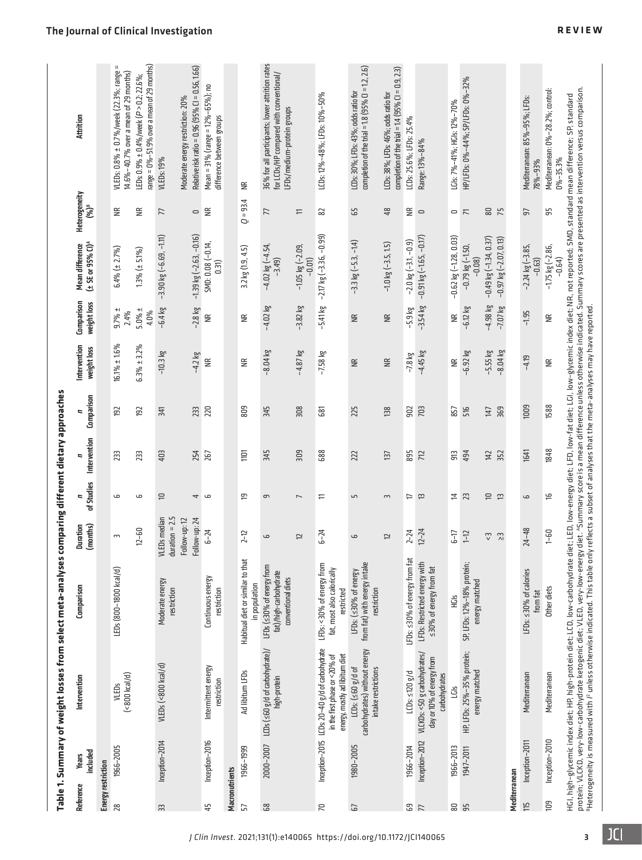|                    |                   | Table 1. Summary of weight losses from select meta-analyses                                                                                           |                                                                           |                                          |                | comparing different dietary approaches |                 |                             |                           |                                                          |                                                      |                                                                                                                                                                                                                                                                                                                                                                                                                                                         |
|--------------------|-------------------|-------------------------------------------------------------------------------------------------------------------------------------------------------|---------------------------------------------------------------------------|------------------------------------------|----------------|----------------------------------------|-----------------|-----------------------------|---------------------------|----------------------------------------------------------|------------------------------------------------------|---------------------------------------------------------------------------------------------------------------------------------------------------------------------------------------------------------------------------------------------------------------------------------------------------------------------------------------------------------------------------------------------------------------------------------------------------------|
| Reference          | included<br>Years | Intervention                                                                                                                                          | Comparison                                                                | (months)<br><b>Duration</b>              | of Studies     | Intervention                           | Comparison<br>= | Intervention<br>weight loss | Comparison<br>weight loss | $(450.95\%$<br><b>Mean difference</b>                    | Heterogeneity<br>$(96)^8$                            | <b>Attrition</b>                                                                                                                                                                                                                                                                                                                                                                                                                                        |
| Energy restriction |                   |                                                                                                                                                       |                                                                           |                                          |                |                                        |                 |                             |                           |                                                          |                                                      |                                                                                                                                                                                                                                                                                                                                                                                                                                                         |
| 28                 | 1966-2005         | $($ <800 kcal/d $)$<br>VLEDs                                                                                                                          | LEDs (800-1800 kcal/d)                                                    | $\overline{1}$                           | م              | 233                                    | 192             | $16.1\% \pm 1.6\%$          | $9.7% \pm$<br>2.4%        | $6.4\%$ ( $\pm$ 2.7%)                                    | $\widetilde{\Xi}$                                    | VLEDs: 0.8% ± 0.7%/week (22.3%; range =<br>$14.6\% - 40.7\%$ over a mean of 29 months)                                                                                                                                                                                                                                                                                                                                                                  |
|                    |                   |                                                                                                                                                       |                                                                           | $12 - 60$                                | ما             | 233                                    | 192             | $6.3% \pm 3.2%$             | $5.0% \pm$<br>4.0%        | $1.3% (\pm 5.1%)$                                        | ≝                                                    | $\text{angle} = 0\% - 51.9\%$ over a mean of 29 months)<br>.EDs: $0.9\% \pm 0.4\%$ /week (P > 0.2; 22.6%;                                                                                                                                                                                                                                                                                                                                               |
| ЗS                 | Inception-2014    | VLEDs (<800 kcal/d)                                                                                                                                   | Moderate energy<br>restriction                                            | $duration = 2.5$<br>VLEDs median         | $\equiv$       | 403                                    | 341             | $-10.3$ kg                  | $-6.4$ kg                 | $-3.90$ kg $(-6.69, -1.11)$                              | 77                                                   | <b>VLEDs: 19%</b>                                                                                                                                                                                                                                                                                                                                                                                                                                       |
|                    |                   |                                                                                                                                                       |                                                                           | Follow-up: 24<br>Follow-up: 12           | 4              | 254                                    | 233             | $-4.2$ kg                   | $-2.8$ kg                 | $-1.39$ kg $(-2.63, -0.16)$                              | $\hskip10pt\hskip10pt\hskip10pt\hskip10pt\hskip10pt$ | Relative risk ratio = 0.96 (95% CI = 0.56, 1.66)<br>Moderate energy restriction: 20%                                                                                                                                                                                                                                                                                                                                                                    |
| 45                 | Inception-2016    | Intermittent energy<br>restriction                                                                                                                    | Continuous energy<br>restriction                                          | $6 - 24$                                 | ص              | 267                                    | 220             | $\widetilde{\equiv}$        | ≝                         | SMD: 0.08 (-0.14,<br>0.31)                               | $\widetilde{\Xi}$                                    | Mean = 31% (range = 12%-65%); no<br>difference between groups                                                                                                                                                                                                                                                                                                                                                                                           |
| Macronutrients     |                   |                                                                                                                                                       |                                                                           |                                          |                |                                        |                 |                             |                           |                                                          |                                                      |                                                                                                                                                                                                                                                                                                                                                                                                                                                         |
| 57                 | 1966-1999         | Ad libitum LFDs                                                                                                                                       | Habitual diet or similar to that<br>in population                         | $2 - 12$                                 | 5              | $\equiv$                               | 809             | $\widetilde{\Xi}$           | $\widetilde{\Xi}$         | $3.2$ kg $(1.9, 4.5)$                                    | $Q = 93.4$                                           | ≝                                                                                                                                                                                                                                                                                                                                                                                                                                                       |
| 68                 |                   | 2000-2007 LCDs (≤60 g/d of carbohydrate)/<br>high-protein                                                                                             | LFDs (<30% of energy from<br>fat)/high-carbohydrate<br>conventional diets | ص                                        | 9              | 345                                    | 345             | $-8.04$ kg                  | $-4.02$ kg                | $-4.02$ kg $(-4.54)$<br>$-3.49$                          | 77                                                   | 36% for all participants; lower attrition rates<br>for LCDs/HP compared with conventional/<br>.FDs/medium-protein groups                                                                                                                                                                                                                                                                                                                                |
|                    |                   |                                                                                                                                                       |                                                                           | 12                                       | $\overline{ }$ | 309                                    | 308             | $-4.87$ kg                  | $-3.82$ $kg$              | $-1.05$ kg ( $-2.09$ ,<br>$-0.01$                        | H                                                    |                                                                                                                                                                                                                                                                                                                                                                                                                                                         |
| $\approx$          |                   | Inception-2015 LCDs: 20-40 g/d of carbohydrate<br>energy, mostly ad libitum diet<br>in the first phase or <20% of                                     | LFDs: <30% of energy from<br>fat, most also calorically<br>restricted     | $6 - 24$                                 | 는              | 688                                    | 681             | $-7.58$ kg                  | $-5.41$ kg                | $-2.17$ kg $(-3.36, -0.99)$                              | 82                                                   | LCDs: 12%-48%; LFDs: 10%-50%                                                                                                                                                                                                                                                                                                                                                                                                                            |
| 57                 | 1980-2005         | carbohydrates) without energy<br>$LCDs:$ ( $\leq 60$ g/d of<br>intake restrictions                                                                    | from fat) with energy intake<br>LFDs: (<30% of energy<br>restriction      | ها                                       | Ln             | 222                                    | 225             | $\widetilde{\Xi}$           | $\widetilde{\Xi}$         | $-3.3$ kg $(-5.3, -1.4)$                                 | 59                                                   | completion of the trial = $1.8$ (95% Cl = $1.2$ , 2.6)<br>LCDs: 30%; LFDs: 43%; odds ratio for                                                                                                                                                                                                                                                                                                                                                          |
|                    |                   |                                                                                                                                                       |                                                                           | 12                                       | $\overline{3}$ | 137                                    | 138             | $\widetilde{\Xi}$           | $\widetilde{\Xi}$         | $-1.0$ kg $(-3.5, 1.5)$                                  | 48                                                   | completion of the trial = $1.4$ (95% Cl = 0.9, 2.3)<br>LCDs: 38%; LFDs: 46%; odds ratio for                                                                                                                                                                                                                                                                                                                                                             |
| <b>SB</b><br>77    | 1966-2014         | $LCDs: 120 g/d$                                                                                                                                       | LFDs: ≤30% of energy from fat                                             | $2 - 24$                                 | ₽              | 895                                    | 902             | $-7.8$ kg                   | $-5.9$ kg                 | $-2.0$ kg $(-3.1, -0.9)$                                 | $\widetilde{\Xi}$                                    | LCDs: 25.6%; LFDs: 25.4%                                                                                                                                                                                                                                                                                                                                                                                                                                |
|                    | Inception-2012    | VLCKDs: <50 g carbohydrates/<br>day or 10% of energy from<br>carbohydrates                                                                            | LFDs: Restricted energy with<br>≤30% of energy from fat                   | $12 - 24$                                | 13             | 712                                    | 703             | $-4.45$ kg                  | $-3.54$ kg                | $-0.91$ kg $(-1.65, -0.17)$                              | $\cup$                                               | Range: 13%-84%                                                                                                                                                                                                                                                                                                                                                                                                                                          |
| <b>a</b> s         | 1966-2013         | š                                                                                                                                                     | Hūs                                                                       | $-17$                                    | Ħ              | Ξ                                      | 857             | $\widetilde{\equiv}$        | ≝                         | $-0.62$ kg $(-1.28, 0.03)$                               |                                                      | LGIs: 7%-41%; HGIs: 12%-70%                                                                                                                                                                                                                                                                                                                                                                                                                             |
|                    | 1947-2011         | HP, LFDs: 25%-35% protein;<br>energy matched                                                                                                          | SP, LFDs: 12%-18% protein;<br>energy matched                              | $1 - 12$                                 | 23             | 494                                    | 516             | $-6.92$ kg                  | $-6.12$ kg                | $-0.79$ kg $(-1.50,$<br>$-0.08$                          | $\overline{\phantom{a}}$                             | HP/LFDs: 0%-44%; SP/LFDs: 0%-32%                                                                                                                                                                                                                                                                                                                                                                                                                        |
|                    |                   |                                                                                                                                                       |                                                                           | $\mathbb{C}^{\mathbb{C}}$<br>$\tilde{z}$ | $\Xi$ $\Xi$    | 142<br>352                             | 369<br>147      | $-8.04$ kg<br>$-5.55$ kg    | $-4.98$ kg<br>$-7.07$ kg  | $-0.49$ kg $(-1.34, 0.37)$<br>$-0.97$ kg $(-2.07, 0.13)$ | 80<br>75                                             |                                                                                                                                                                                                                                                                                                                                                                                                                                                         |
| Mediterranean      |                   |                                                                                                                                                       |                                                                           |                                          |                |                                        |                 |                             |                           |                                                          |                                                      |                                                                                                                                                                                                                                                                                                                                                                                                                                                         |
| 115                | Inception-2011    | Mediterranean                                                                                                                                         | LFDs: <30% of calories<br>from fat                                        | $24 - 48$                                | 6              | 1641                                   | 1009            | $-4.19$                     | $-1.95$                   | $-2.24$ kg $(-3.85,$<br>$-0.63)$                         | 57                                                   | Mediterranean: 85%-95%; LFDs:<br>78%-93%                                                                                                                                                                                                                                                                                                                                                                                                                |
| $\overline{10}$    | Inception-2010    | Mediterranean                                                                                                                                         | Other diets                                                               | $1-60$                                   | ڡ              | 1848                                   | 1588            | $\widetilde{\equiv}$        | $\widetilde{\Xi}$         | $-1.75$ kg $(-2.86,$<br>$-0.64$ )                        | 95                                                   | Mediterranean: 0%-28.2%; control:<br>$0% - 35.3%$                                                                                                                                                                                                                                                                                                                                                                                                       |
|                    |                   | "Heterogeneity is measured with P unless otherwise indicated. This table only reflects a subset of analyses that the meta-analyses may have reported. |                                                                           |                                          |                |                                        |                 |                             |                           |                                                          |                                                      | protein; VLCKD, very-low-carbohydrate ketogenic diet; VLED, very-low-energy diet. <sup>A</sup> Summary score is a mean difference unless otherwise indicated. Summary scores are presented as intervention versus comparison.<br>HGI, high-glycemic index diet; HP, high-protein diet; LCD, low-carbohydrate diet; LCD, low-energy diet; LFD, low-fat diet; LGI, low-glycemic index diet; NR, not reported; SMD, standard mean difference; SP, standard |

#### [The Journal of Clinical Investigation](https://www.jci.org) **REVIEW**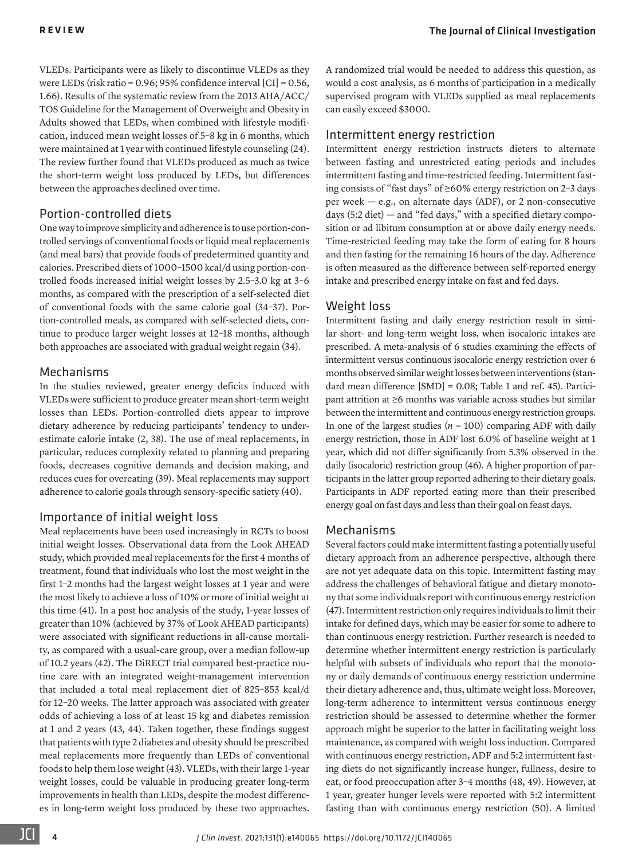VLEDs. Participants were as likely to discontinue VLEDs as they were LEDs (risk ratio = 0.96; 95% confidence interval [CI] = 0.56, 1.66). Results of the systematic review from the 2013 AHA/ACC/ TOS Guideline for the Management of Overweight and Obesity in Adults showed that LEDs, when combined with lifestyle modification, induced mean weight losses of 5–8 kg in 6 months, which were maintained at 1 year with continued lifestyle counseling [\(24\)](#page-8-13). The review further found that VLEDs produced as much as twice the short-term weight loss produced by LEDs, but differences between the approaches declined over time.

#### Portion-controlled diets

One way to improve simplicity and adherence is to use portion-controlled servings of conventional foods or liquid meal replacements (and meal bars) that provide foods of predetermined quantity and calories. Prescribed diets of 1000–1500 kcal/d using portion-controlled foods increased initial weight losses by 2.5–3.0 kg at 3–6 months, as compared with the prescription of a self-selected diet of conventional foods with the same calorie goal [\(34](#page-8-25)[–37](#page-9-6)). Portion-controlled meals, as compared with self-selected diets, continue to produce larger weight losses at 12–18 months, although both approaches are associated with gradual weight regain ([34\)](#page-8-25).

#### Mechanisms

In the studies reviewed, greater energy deficits induced with VLEDs were sufficient to produce greater mean short-term weight losses than LEDs. Portion-controlled diets appear to improve dietary adherence by reducing participants' tendency to underestimate calorie intake [\(2,](#page-8-1) [38\)](#page-9-7). The use of meal replacements, in particular, reduces complexity related to planning and preparing foods, decreases cognitive demands and decision making, and reduces cues for overeating [\(39\)](#page-9-8). Meal replacements may support adherence to calorie goals through sensory-specific satiety [\(40\)](#page-9-9).

#### Importance of initial weight loss

Meal replacements have been used increasingly in RCTs to boost initial weight losses. Observational data from the Look AHEAD study, which provided meal replacements for the first 4 months of treatment, found that individuals who lost the most weight in the first 1–2 months had the largest weight losses at 1 year and were the most likely to achieve a loss of 10% or more of initial weight at this time [\(41](#page-9-10)). In a post hoc analysis of the study, 1-year losses of greater than 10% (achieved by 37% of Look AHEAD participants) were associated with significant reductions in all-cause mortality, as compared with a usual-care group, over a median follow-up of 10.2 years [\(42](#page-9-11)). The DiRECT trial compared best-practice routine care with an integrated weight-management intervention that included a total meal replacement diet of 825–853 kcal/d for 12–20 weeks. The latter approach was associated with greater odds of achieving a loss of at least 15 kg and diabetes remission at 1 and 2 years [\(43](#page-9-12), [44](#page-9-13)). Taken together, these findings suggest that patients with type 2 diabetes and obesity should be prescribed meal replacements more frequently than LEDs of conventional foods to help them lose weight [\(43](#page-9-12)). VLEDs, with their large 1-year weight losses, could be valuable in producing greater long-term improvements in health than LEDs, despite the modest differences in long-term weight loss produced by these two approaches.

A randomized trial would be needed to address this question, as would a cost analysis, as 6 months of participation in a medically supervised program with VLEDs supplied as meal replacements can easily exceed \$3000.

#### Intermittent energy restriction

Intermittent energy restriction instructs dieters to alternate between fasting and unrestricted eating periods and includes intermittent fasting and time-restricted feeding. Intermittent fasting consists of "fast days" of ≥60% energy restriction on 2–3 days per week — e.g., on alternate days (ADF), or 2 non-consecutive days  $(5:2$  diet) — and "fed days," with a specified dietary composition or ad libitum consumption at or above daily energy needs. Time-restricted feeding may take the form of eating for 8 hours and then fasting for the remaining 16 hours of the day. Adherence is often measured as the difference between self-reported energy intake and prescribed energy intake on fast and fed days.

#### Weight loss

Intermittent fasting and daily energy restriction result in similar short- and long-term weight loss, when isocaloric intakes are prescribed. A meta-analysis of 6 studies examining the effects of intermittent versus continuous isocaloric energy restriction over 6 months observed similar weight losses between interventions (standard mean difference [SMD] = 0.0[8](#page-8-24); Table [1](#page-8-0) and ref. [45](#page-9-0)). Participant attrition at ≥6 months was variable across studies but similar between the intermittent and continuous energy restriction groups. In one of the largest studies  $(n = 100)$  comparing ADF with daily energy restriction, those in ADF lost 6.0% of baseline weight at 1 year, which did not differ significantly from 5.3% observed in the daily (isocaloric) restriction group [\(46](#page-9-1)). A higher proportion of participants in the latter group reported adhering to their dietary goals. Participants in ADF reported eating more than their prescribed energy goal on fast days and less than their goal on feast days.

#### Mechanisms

Several factors could make intermittent fasting a potentially useful dietary approach from an adherence perspective, although there are not yet adequate data on this topic. Intermittent fasting may address the challenges of behavioral fatigue and dietary monotony that some individuals report with continuous energy restriction [\(47\)](#page-9-2). Intermittent restriction only requires individuals to limit their intake for defined days, which may be easier for some to adhere to than continuous energy restriction. Further research is needed to determine whether intermittent energy restriction is particularly helpful with subsets of individuals who report that the monotony or daily demands of continuous energy restriction undermine their dietary adherence and, thus, ultimate weight loss. Moreover, long-term adherence to intermittent versus continuous energy restriction should be assessed to determine whether the former approach might be superior to the latter in facilitating weight loss maintenance, as compared with weight loss induction. Compared with continuous energy restriction, ADF and 5:2 intermittent fasting diets do not significantly increase hunger, fullness, desire to eat, or food preoccupation after 3–4 months ([48](#page-9-3), [49](#page-9-4)). However, at 1 year, greater hunger levels were reported with 5:2 intermittent fasting than with continuous energy restriction ([50\)](#page-9-5). A limited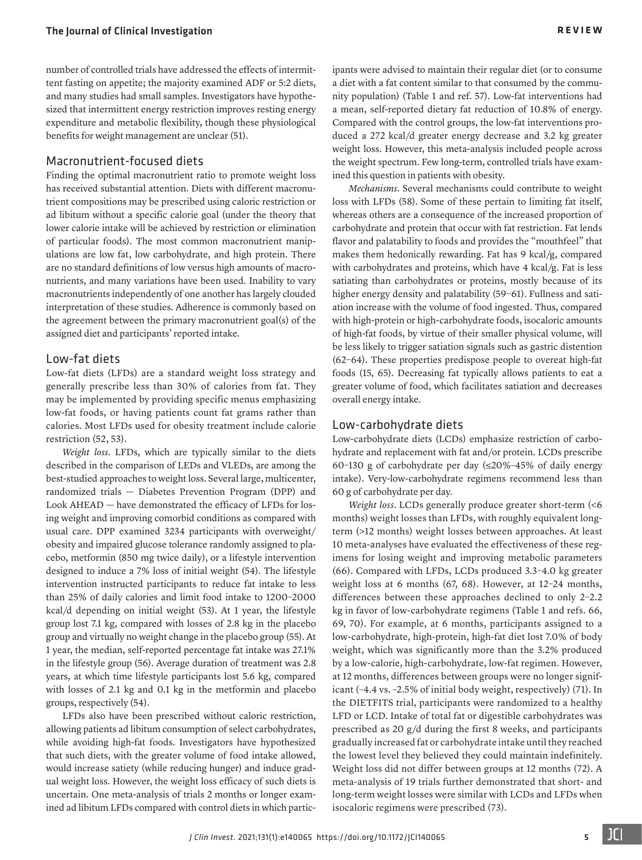number of controlled trials have addressed the effects of intermittent fasting on appetite; the majority examined ADF or 5:2 diets, and many studies had small samples. Investigators have hypothesized that intermittent energy restriction improves resting energy expenditure and metabolic flexibility, though these physiological benefits for weight management are unclear ([51\)](#page-9-29).

#### Macronutrient-focused diets

Finding the optimal macronutrient ratio to promote weight loss has received substantial attention. Diets with different macronutrient compositions may be prescribed using caloric restriction or ad libitum without a specific calorie goal (under the theory that lower calorie intake will be achieved by restriction or elimination of particular foods). The most common macronutrient manipulations are low fat, low carbohydrate, and high protein. There are no standard definitions of low versus high amounts of macronutrients, and many variations have been used. Inability to vary macronutrients independently of one another has largely clouded interpretation of these studies. Adherence is commonly based on the agreement between the primary macronutrient goal(s) of the assigned diet and participants' reported intake.

#### Low-fat diets

Low-fat diets (LFDs) are a standard weight loss strategy and generally prescribe less than 30% of calories from fat. They may be implemented by providing specific menus emphasizing low-fat foods, or having patients count fat grams rather than calories. Most LFDs used for obesity treatment include calorie restriction [\(52,](#page-9-30) [53](#page-9-31)).

*Weight loss*. LFDs, which are typically similar to the diets described in the comparison of LEDs and VLEDs, are among the best-studied approaches to weight loss. Several large, multicenter, randomized trials — Diabetes Prevention Program (DPP) and Look AHEAD — have demonstrated the efficacy of LFDs for losing weight and improving comorbid conditions as compared with usual care. DPP examined 3234 participants with overweight/ obesity and impaired glucose tolerance randomly assigned to placebo, metformin (850 mg twice daily), or a lifestyle intervention designed to induce a 7% loss of initial weight [\(54\)](#page-9-32). The lifestyle intervention instructed participants to reduce fat intake to less than 25% of daily calories and limit food intake to 1200–2000 kcal/d depending on initial weight ([53\)](#page-9-31). At 1 year, the lifestyle group lost 7.1 kg, compared with losses of 2.8 kg in the placebo group and virtually no weight change in the placebo group (55). At 1 year, the median, self-reported percentage fat intake was 27.1% in the lifestyle group [\(56\)](#page-9-33). Average duration of treatment was 2.8 years, at which time lifestyle participants lost 5.6 kg, compared with losses of 2.1 kg and 0.1 kg in the metformin and placebo groups, respectively ([54\)](#page-9-32).

LFDs also have been prescribed without caloric restriction, allowing patients ad libitum consumption of select carbohydrates, while avoiding high-fat foods. Investigators have hypothesized that such diets, with the greater volume of food intake allowed, would increase satiety (while reducing hunger) and induce gradual weight loss. However, the weight loss efficacy of such diets is uncertain. One meta-analysis of trials 2 months or longer examined ad libitum LFDs compared with control diets in which participants were advised to maintain their regular diet (or to consume a diet with a fat content similar to that consumed by the community population) (Table [1](#page-8-0) and ref. [57](#page-9-14)). Low-fat interventions had a mean, self-reported dietary fat reduction of 10.8% of energy. Compared with the control groups, the low-fat interventions produced a 272 kcal/d greater energy decrease and 3.2 kg greater weight loss. However, this meta-analysis included people across the weight spectrum. Few long-term, controlled trials have examined this question in patients with obesity.

*Mechanisms*. Several mechanisms could contribute to weight loss with LFDs [\(58](#page-9-15)). Some of these pertain to limiting fat itself, whereas others are a consequence of the increased proportion of carbohydrate and protein that occur with fat restriction. Fat lends flavor and palatability to foods and provides the "mouthfeel" that makes them hedonically rewarding. Fat has 9 kcal/g, compared with carbohydrates and proteins, which have 4 kcal/g. Fat is less satiating than carbohydrates or proteins, mostly because of its higher energy density and palatability (59-[61\)](#page-9-17). Fullness and satiation increase with the volume of food ingested. Thus, compared with high-protein or high-carbohydrate foods, isocaloric amounts of high-fat foods, by virtue of their smaller physical volume, will be less likely to trigger satiation signals such as gastric distention [\(62–](#page-9-18)[64\)](#page-9-19). These properties predispose people to overeat high-fat foods [\(15](#page-8-9), [65\)](#page-9-20). Decreasing fat typically allows patients to eat a greater volume of food, which facilitates satiation and decreases overall energy intake.

#### Low-carbohydrate diets

Low-carbohydrate diets (LCDs) emphasize restriction of carbohydrate and replacement with fat and/or protein. LCDs prescribe 60–130 g of carbohydrate per day (≤20%–45% of daily energy intake). Very-low-carbohydrate regimens recommend less than 60 g of carbohydrate per day.

*Weight loss*. LCDs generally produce greater short-term (<6 months) weight losses than LFDs, with roughly equivalent longterm (>12 months) weight losses between approaches. At least 10 meta-analyses have evaluated the effectiveness of these regimens for losing weight and improving metabolic parameters [\(66](#page-9-21)). Compared with LFDs, LCDs produced 3.3–4.0 kg greater weight loss at 6 months [\(67,](#page-9-22) [68\)](#page-9-23). However, at 12–24 months, differences between these approaches declined to only 2–2.2 kg in favor of low-carbohydrate regimens (Table [1](#page-8-0) and refs. [66,](#page-9-21) [69,](#page-9-24) [70](#page-9-25)). For example, at 6 months, participants assigned to a low-carbohydrate, high-protein, high-fat diet lost 7.0% of body weight, which was significantly more than the 3.2% produced by a low-calorie, high-carbohydrate, low-fat regimen. However, at 12 months, differences between groups were no longer significant (–4.4 vs. –2.5% of initial body weight, respectively) ([71](#page-9-26)). In the DIETFITS trial, participants were randomized to a healthy LFD or LCD. Intake of total fat or digestible carbohydrates was prescribed as 20 g/d during the first 8 weeks, and participants gradually increased fat or carbohydrate intake until they reached the lowest level they believed they could maintain indefinitely. Weight loss did not differ between groups at 12 months ([72](#page-9-27)). A meta-analysis of 19 trials further demonstrated that short- and long-term weight losses were similar with LCDs and LFDs when isocaloric regimens were prescribed ([73\)](#page-9-28).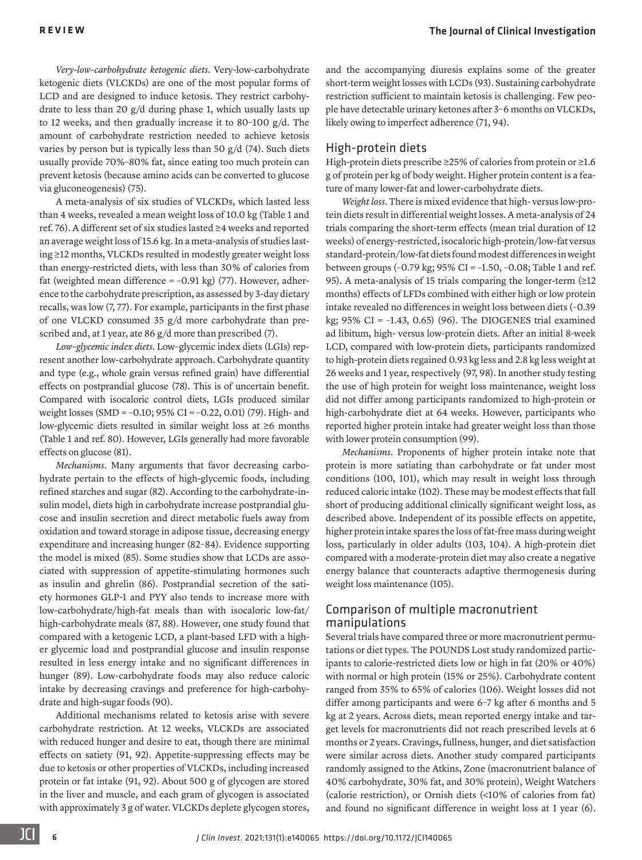*Very-low-carbohydrate ketogenic diets*. Very-low-carbohydrate ketogenic diets (VLCKDs) are one of the most popular forms of LCD and are designed to induce ketosis. They restrict carbohydrate to less than 20 g/d during phase 1, which usually lasts up to 12 weeks, and then gradually increase it to 80–100 g/d. The amount of carbohydrate restriction needed to achieve ketosis varies by person but is typically less than 50 g/d ([74](#page-9-34)). Such diets usually provide 70%–80% fat, since eating too much protein can prevent ketosis (because amino acids can be converted to glucose via gluconeogenesis) ([75](#page-9-35)).

A meta-analysis of six studies of VLCKDs, which lasted less than 4 weeks, revealed a mean weight loss of 10.0 kg (Table [1](#page-8-0) and ref. [76](#page-9-36)). A different set of six studies lasted ≥4 weeks and reported an average weight loss of 15.6 kg. In a meta-analysis of studies lasting ≥12 months, VLCKDs resulted in modestly greater weight loss than energy-restricted diets, with less than 30% of calories from fat (weighted mean difference =  $-0.91$  kg) ([77\)](#page-9-37). However, adherence to the carbohydrate prescription, as assessed by 3-day dietary recalls, was low [\(7,](#page-8-26) [77](#page-9-37)). For example, participants in the first phase of one VLCKD consumed 35 g/d more carbohydrate than prescribed and, at 1 year, ate 86 g/d more than prescribed ([7\)](#page-8-26).

*Low–glycemic index diets*. Low–glycemic index diets (LGIs) represent another low-carbohydrate approach. Carbohydrate quantity and type (e.g., whole grain versus refined grain) have differential effects on postprandial glucose ([78](#page-9-38)). This is of uncertain benefit. Compared with isocaloric control diets, LGIs produced similar weight losses (SMD = –0.10; 95% CI = –0.22, 0.01) ([79](#page-9-39)). High- and low-glycemic diets resulted in similar weight loss at ≥6 months (Table [1](#page-8-0) and ref. [80](#page-9-40)). However, LGIs generally had more favorable effects on glucose [\(81\)](#page-9-41).

*Mechanisms*. Many arguments that favor decreasing carbohydrate pertain to the effects of high-glycemic foods, including refined starches and sugar ([82\)](#page-9-42). According to the carbohydrate-insulin model, diets high in carbohydrate increase postprandial glucose and insulin secretion and direct metabolic fuels away from oxidation and toward storage in adipose tissue, decreasing energy expenditure and increasing hunger [\(82](#page-9-42)–[84](#page-9-43)). Evidence supporting the model is mixed ([85\)](#page-10-0). Some studies show that LCDs are associated with suppression of appetite-stimulating hormones such as insulin and ghrelin [\(86\)](#page-10-1). Postprandial secretion of the satiety hormones GLP-1 and PYY also tends to increase more with low-carbohydrate/high-fat meals than with isocaloric low-fat/ high-carbohydrate meals [\(87,](#page-10-2) [88\)](#page-10-3). However, one study found that compared with a ketogenic LCD, a plant-based LFD with a higher glycemic load and postprandial glucose and insulin response resulted in less energy intake and no significant differences in hunger ([89](#page-10-4)). Low-carbohydrate foods may also reduce caloric intake by decreasing cravings and preference for high-carbohydrate and high-sugar foods [\(90](#page-10-5)).

Additional mechanisms related to ketosis arise with severe carbohydrate restriction. At 12 weeks, VLCKDs are associated with reduced hunger and desire to eat, though there are minimal effects on satiety ([91,](#page-10-6) [92\)](#page-10-7). Appetite-suppressing effects may be due to ketosis or other properties of VLCKDs, including increased protein or fat intake ([91,](#page-10-6) [92\)](#page-10-7). About 500 g of glycogen are stored in the liver and muscle, and each gram of glycogen is associated with approximately 3 g of water. VLCKDs deplete glycogen stores, and the accompanying diuresis explains some of the greater short-term weight losses with LCDs [\(93\)](#page-10-8). Sustaining carbohydrate restriction sufficient to maintain ketosis is challenging. Few people have detectable urinary ketones after 3–6 months on VLCKDs, likely owing to imperfect adherence ([71,](#page-9-26) [94\)](#page-10-9).

#### High-protein diets

High-protein diets prescribe ≥25% of calories from protein or ≥1.6 g of protein per kg of body weight. Higher protein content is a feature of many lower-fat and lower-carbohydrate diets.

*Weight loss*. There is mixed evidence that high- versus low-protein diets result in differential weight losses. A meta-analysis of 24 trials comparing the short-term effects (mean trial duration of 12 weeks) of energy-restricted, isocaloric high-protein/low-fat versus standard-protein/low-fat diets found modest differences in weight between groups (–0.79 kg; [95%](#page-10-10) CI = [–1.](#page-8-0)50, –0.[08](#page-8-24); Table 1 and ref. 95). A meta-analysis of 15 trials comparing the longer-term (≥12 months) effects of LFDs combined with either high or low protein intake revealed no differences in weight loss between diets (–0.39 kg;  $95\%$  CI = -1.43, 0.65) [\(96](#page-10-11)). The DIOGENES trial examined ad libitum, high- versus low-protein diets. After an initial 8-week LCD, compared with low-protein diets, participants randomized to high-protein diets regained 0.93 kg less and 2.8 kg less weight at 26 weeks and 1 year, respectively ([97,](#page-10-12) [98\)](#page-10-13). In another study testing the use of high protein for weight loss maintenance, weight loss did not differ among participants randomized to high-protein or high-carbohydrate diet at 64 weeks. However, participants who reported higher protein intake had greater weight loss than those with lower protein consumption ([99\)](#page-10-14).

*Mechanisms*. Proponents of higher protein intake note that protein is more satiating than carbohydrate or fat under most conditions [\(100](#page-10-15), [101\)](#page-10-16), which may result in weight loss through reduced caloric intake [\(102](#page-10-17)). These may be modest effects that fall short of producing additional clinically significant weight loss, as described above. Independent of its possible effects on appetite, higher protein intake spares the loss of fat-free mass during weight loss, particularly in older adults ([103](#page-10-18), [104](#page-10-19)). A high-protein diet compared with a moderate-protein diet may also create a negative energy balance that counteracts adaptive thermogenesis during weight loss maintenance ([105](#page-10-20)).

#### Comparison of multiple macronutrient manipulations

Several trials have compared three or more macronutrient permutations or diet types. The POUNDS Lost study randomized participants to calorie-restricted diets low or high in fat (20% or 40%) with normal or high protein (15% or 25%). Carbohydrate content ranged from 35% to 65% of calories [\(106\)](#page-10-21). Weight losses did not differ among participants and were 6–7 kg after 6 months and 5 kg at 2 years. Across diets, mean reported energy intake and target levels for macronutrients did not reach prescribed levels at 6 months or 2 years. Cravings, fullness, hunger, and diet satisfaction were similar across diets. Another study compared participants randomly assigned to the Atkins, Zone (macronutrient balance of 40% carbohydrate, 30% fat, and 30% protein), Weight Watchers (calorie restriction), or Ornish diets (<10% of calories from fat) and found no significant difference in weight loss at 1 year ([6\)](#page-8-5).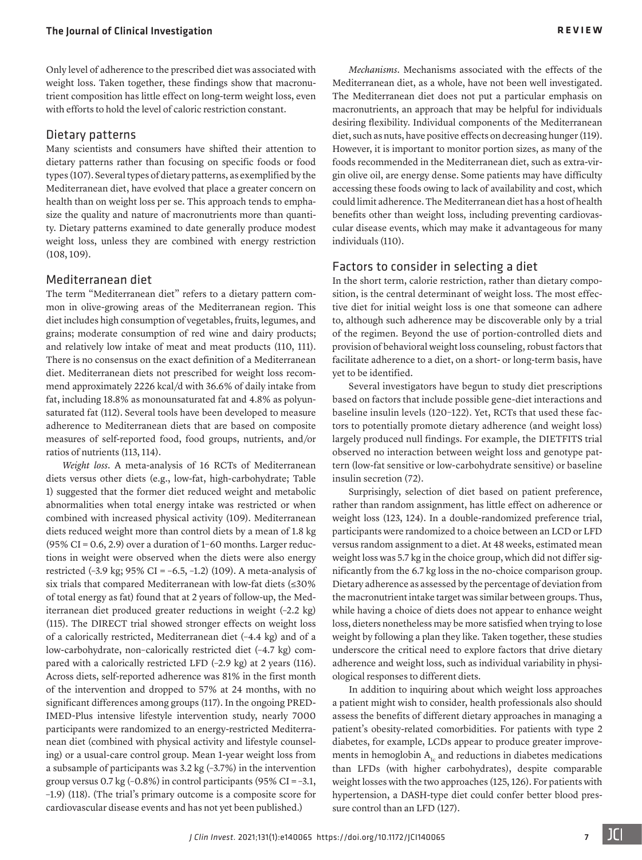Only level of adherence to the prescribed diet was associated with weight loss. Taken together, these findings show that macronutrient composition has little effect on long-term weight loss, even with efforts to hold the level of caloric restriction constant.

#### Dietary patterns

Many scientists and consumers have shifted their attention to dietary patterns rather than focusing on specific foods or food types [\(107](#page-10-22)). Several types of dietary patterns, as exemplified by the Mediterranean diet, have evolved that place a greater concern on health than on weight loss per se. This approach tends to emphasize the quality and nature of macronutrients more than quantity. Dietary patterns examined to date generally produce modest weight loss, unless they are combined with energy restriction [\(108](#page-10-23), [109\)](#page-10-24).

#### Mediterranean diet

The term "Mediterranean diet" refers to a dietary pattern common in olive-growing areas of the Mediterranean region. This diet includes high consumption of vegetables, fruits, legumes, and grains; moderate consumption of red wine and dairy products; and relatively low intake of meat and meat products ([110,](#page-10-25) [111\)](#page-10-26). There is no consensus on the exact definition of a Mediterranean diet. Mediterranean diets not prescribed for weight loss recommend approximately 2226 kcal/d with 36.6% of daily intake from fat, including 18.8% as monounsaturated fat and 4.8% as polyunsaturated fat [\(112\)](#page-10-27). Several tools have been developed to measure adherence to Mediterranean diets that are based on composite measures of self-reported food, food groups, nutrients, and/or ratios of nutrients [\(113](#page-10-28), [114](#page-10-29)).

*Weight loss*. A meta-analysis of 16 RCTs of Mediterranean diets versus other diets (e.g., low-fat, high-carbohydrate; Table 1) suggested that the former diet reduced weight and metabolic abnormalities when total energy intake was restricted or when combined with increased physical activity [\(109](#page-10-24)). Mediterranean diets reduced weight more than control diets by a mean of 1.8 kg (95% CI =  $0.6$ , 2.9) over a duration of 1-60 months. Larger reductions in weight were observed when the diets were also energy restricted (–3.9 kg; 95% CI = –6.5, –1.2) [\(109\)](#page-10-24). A meta-analysis of six trials that compared Mediterranean with low-fat diets (≤30% of total energy as fat) found that at 2 years of follow-up, the Mediterranean diet produced greater reductions in weight (–2.2 kg) [\(115\)](#page-10-30). The DIRECT trial showed stronger effects on weight loss of a calorically restricted, Mediterranean diet (–4.4 kg) and of a low-carbohydrate, non–calorically restricted diet (–4.7 kg) compared with a calorically restricted LFD (–2.9 kg) at 2 years [\(116\)](#page-10-31). Across diets, self-reported adherence was 81% in the first month of the intervention and dropped to 57% at 24 months, with no significant differences among groups [\(117\)](#page-10-32). In the ongoing PRED-IMED-Plus intensive lifestyle intervention study, nearly 7000 participants were randomized to an energy-restricted Mediterranean diet (combined with physical activity and lifestyle counseling) or a usual-care control group. Mean 1-year weight loss from a subsample of participants was 3.2 kg (–3.7%) in the intervention group versus 0.7 kg ( $-0.8\%$ ) in control participants (95% CI =  $-3.1$ , –1.9) ([118](#page-10-33)). (The trial's primary outcome is a composite score for cardiovascular disease events and has not yet been published.)

*Mechanisms*. Mechanisms associated with the effects of the Mediterranean diet, as a whole, have not been well investigated. The Mediterranean diet does not put a particular emphasis on macronutrients, an approach that may be helpful for individuals desiring flexibility. Individual components of the Mediterranean diet, such as nuts, have positive effects on decreasing hunger [\(119\)](#page-10-34). However, it is important to monitor portion sizes, as many of the foods recommended in the Mediterranean diet, such as extra-virgin olive oil, are energy dense. Some patients may have difficulty accessing these foods owing to lack of availability and cost, which could limit adherence. The Mediterranean diet has a host of health benefits other than weight loss, including preventing cardiovascular disease events, which may make it advantageous for many individuals ([110\)](#page-10-25).

#### Factors to consider in selecting a diet

In the short term, calorie restriction, rather than dietary composition, is the central determinant of weight loss. The most effective diet for initial weight loss is one that someone can adhere to, although such adherence may be discoverable only by a trial of the regimen. Beyond the use of portion-controlled diets and provision of behavioral weight loss counseling, robust factors that facilitate adherence to a diet, on a short- or long-term basis, have yet to be identified.

Several investigators have begun to study diet prescriptions based on factors that include possible gene-diet interactions and baseline insulin levels [\(120–](#page-10-35)[122\)](#page-10-36). Yet, RCTs that used these factors to potentially promote dietary adherence (and weight loss) largely produced null findings. For example, the DIETFITS trial observed no interaction between weight loss and genotype pattern (low-fat sensitive or low-carbohydrate sensitive) or baseline insulin secretion ([72\)](#page-9-27).

Surprisingly, selection of diet based on patient preference, rather than random assignment, has little effect on adherence or weight loss [\(123](#page-10-37), [124](#page-10-38)). In a double-randomized preference trial, participants were randomized to a choice between an LCD or LFD versus random assignment to a diet. At 48 weeks, estimated mean weight loss was 5.7 kg in the choice group, which did not differ significantly from the 6.7 kg loss in the no-choice comparison group. Dietary adherence as assessed by the percentage of deviation from the macronutrient intake target was similar between groups. Thus, while having a choice of diets does not appear to enhance weight loss, dieters nonetheless may be more satisfied when trying to lose weight by following a plan they like. Taken together, these studies underscore the critical need to explore factors that drive dietary adherence and weight loss, such as individual variability in physiological responses to different diets.

In addition to inquiring about which weight loss approaches a patient might wish to consider, health professionals also should assess the benefits of different dietary approaches in managing a patient's obesity-related comorbidities. For patients with type 2 diabetes, for example, LCDs appear to produce greater improvements in hemoglobin  $A<sub>1c</sub>$  and reductions in diabetes medications than LFDs (with higher carbohydrates), despite comparable weight losses with the two approaches [\(125](#page-10-39), [126](#page-10-40)). For patients with hypertension, a DASH-type diet could confer better blood pressure control than an LFD [\(127\)](#page-10-41).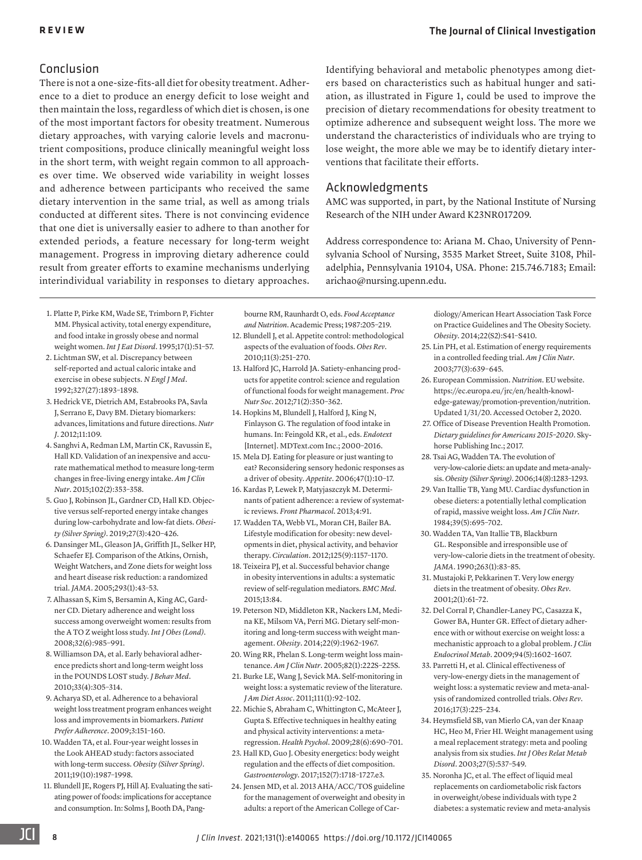#### Conclusion

There is not a one-size-fits-all diet for obesity treatment. Adherence to a diet to produce an energy deficit to lose weight and then maintain the loss, regardless of which diet is chosen, is one of the most important factors for obesity treatment. Numerous dietary approaches, with varying calorie levels and macronutrient compositions, produce clinically meaningful weight loss in the short term, with weight regain common to all approaches over time. We observed wide variability in weight losses and adherence between participants who received the same dietary intervention in the same trial, as well as among trials conducted at different sites. There is not convincing evidence that one diet is universally easier to adhere to than another for extended periods, a feature necessary for long-term weight management. Progress in improving dietary adherence could result from greater efforts to examine mechanisms underlying interindividual variability in responses to dietary approaches. Identifying behavioral and metabolic phenotypes among dieters based on characteristics such as habitual hunger and satiation, as illustrated in [Figure 1](#page-2-0), could be used to improve the precision of dietary recommendations for obesity treatment to optimize adherence and subsequent weight loss. The more we understand the characteristics of individuals who are trying to lose weight, the more able we may be to identify dietary interventions that facilitate their efforts.

#### Acknowledgments

AMC was supported, in part, by the National Institute of Nursing Research of the NIH under Award K23NR017209.

Address correspondence to: Ariana M. Chao, University of Pennsylvania School of Nursing, 3535 Market Street, Suite 3108, Philadelphia, Pennsylvania 19104, USA. Phone: 215.746.7183; Email: [arichao@nursing.upenn.edu.](mailto://arichao@nursing.upenn.edu)

- <span id="page-8-0"></span>1. [Platte P, Pirke KM, Wade SE, Trimborn P, Fichter](https://doi.org/10.1002/1098-108X(199501)17:1<51::AID-EAT2260170107>3.0.CO;2-Q)  [MM. Physical activity, total energy expenditure,](https://doi.org/10.1002/1098-108X(199501)17:1<51::AID-EAT2260170107>3.0.CO;2-Q)  [and food intake in grossly obese and normal](https://doi.org/10.1002/1098-108X(199501)17:1<51::AID-EAT2260170107>3.0.CO;2-Q)  weight women. *Int J Eat Disord*[. 1995;17\(1\):51–57.](https://doi.org/10.1002/1098-108X(199501)17:1<51::AID-EAT2260170107>3.0.CO;2-Q)
- <span id="page-8-1"></span>2. [Lichtman SW, et al. Discrepancy between](https://doi.org/10.1056/NEJM199212313272701)  [self-reported and actual caloric intake and](https://doi.org/10.1056/NEJM199212313272701)  [exercise in obese subjects.](https://doi.org/10.1056/NEJM199212313272701) *N Engl J Med*. [1992;327\(27\):1893–1898.](https://doi.org/10.1056/NEJM199212313272701)
- <span id="page-8-2"></span>3. Hedrick VE, Dietrich AM, Estabrooks PA, Savla J, Serrano E, Davy BM. Dietary biomarkers: advances, limitations and future directions. *Nutr J*. 2012;11:109.
- <span id="page-8-3"></span>4. [Sanghvi A, Redman LM, Martin CK, Ravussin E,](https://doi.org/10.3945/ajcn.115.111070)  [Hall KD. Validation of an inexpensive and accu](https://doi.org/10.3945/ajcn.115.111070)[rate mathematical method to measure long-term](https://doi.org/10.3945/ajcn.115.111070)  [changes in free-living energy intake.](https://doi.org/10.3945/ajcn.115.111070) *Am J Clin Nutr*[. 2015;102\(2\):353–358.](https://doi.org/10.3945/ajcn.115.111070)
- <span id="page-8-4"></span>5. [Guo J, Robinson JL, Gardner CD, Hall KD. Objec](https://doi.org/10.1002/oby.22389)[tive versus self-reported energy intake changes](https://doi.org/10.1002/oby.22389)  [during low-carbohydrate and low-fat diets.](https://doi.org/10.1002/oby.22389) *Obesity (Silver Spring)*[. 2019;27\(3\):420–426.](https://doi.org/10.1002/oby.22389)
- <span id="page-8-5"></span>6. [Dansinger ML, Gleason JA, Griffith JL, Selker HP,](https://doi.org/10.1001/jama.293.1.43)  [Schaefer EJ. Comparison of the Atkins, Ornish,](https://doi.org/10.1001/jama.293.1.43)  [Weight Watchers, and Zone diets for weight loss](https://doi.org/10.1001/jama.293.1.43)  [and heart disease risk reduction: a randomized](https://doi.org/10.1001/jama.293.1.43)  trial. *JAMA*[. 2005;293\(1\):43–53.](https://doi.org/10.1001/jama.293.1.43)
- <span id="page-8-26"></span>7. [Alhassan S, Kim S, Bersamin A, King AC, Gard](https://doi.org/10.1038/ijo.2008.8)[ner CD. Dietary adherence and weight loss](https://doi.org/10.1038/ijo.2008.8)  [success among overweight women: results from](https://doi.org/10.1038/ijo.2008.8)  [the A TO Z weight loss study.](https://doi.org/10.1038/ijo.2008.8) *Int J Obes (Lond)*. [2008;32\(6\):985–991.](https://doi.org/10.1038/ijo.2008.8)
- <span id="page-8-24"></span>8. [Williamson DA, et al. Early behavioral adher](https://doi.org/10.1007/s10865-010-9253-0)[ence predicts short and long-term weight loss](https://doi.org/10.1007/s10865-010-9253-0)  [in the POUNDS LOST study.](https://doi.org/10.1007/s10865-010-9253-0) *J Behav Med*. [2010;33\(4\):305–314.](https://doi.org/10.1007/s10865-010-9253-0)
- 9. Acharya SD, et al. Adherence to a behavioral weight loss treatment program enhances weight loss and improvements in biomarkers. *Patient Prefer Adherence*. 2009;3:151–160.
- <span id="page-8-6"></span>10. [Wadden TA, et al. Four-year weight losses in](https://doi.org/10.1038/oby.2011.230)  [the Look AHEAD study: factors associated](https://doi.org/10.1038/oby.2011.230)  [with long-term success.](https://doi.org/10.1038/oby.2011.230) *Obesity (Silver Spring)*. [2011;19\(10\):1987–1998.](https://doi.org/10.1038/oby.2011.230)
- <span id="page-8-7"></span>11. Blundell JE, Rogers PJ, Hill AJ. Evaluating the satiating power of foods: implications for acceptance and consumption. In: Solms J, Booth DA, Pang-

bourne RM, Raunhardt O, eds. *Food Acceptance and Nutrition*. Academic Press; 1987:205–219.

- 12. [Blundell J, et al. Appetite control: methodological](https://doi.org/10.1111/j.1467-789X.2010.00714.x)  [aspects of the evaluation of foods.](https://doi.org/10.1111/j.1467-789X.2010.00714.x) *Obes Rev*. [2010;11\(3\):251–270.](https://doi.org/10.1111/j.1467-789X.2010.00714.x)
- 13. [Halford JC, Harrold JA. Satiety-enhancing prod](https://doi.org/10.1017/S0029665112000134)[ucts for appetite control: science and regulation](https://doi.org/10.1017/S0029665112000134)  [of functional foods for weight management.](https://doi.org/10.1017/S0029665112000134) *Proc Nutr Soc*[. 2012;71\(2\):350–362.](https://doi.org/10.1017/S0029665112000134)
- <span id="page-8-8"></span>14. Hopkins M, Blundell J, Halford J, King N, Finlayson G. The regulation of food intake in humans. In: Feingold KR, et al., eds. *Endotext* [Internet]. MDText.com Inc.; 2000–2016.
- <span id="page-8-9"></span>15. [Mela DJ. Eating for pleasure or just wanting to](https://doi.org/10.1016/j.appet.2006.02.006)  [eat? Reconsidering sensory hedonic responses as](https://doi.org/10.1016/j.appet.2006.02.006)  a driver of obesity. *Appetite*[. 2006;47\(1\):10–17.](https://doi.org/10.1016/j.appet.2006.02.006)
- <span id="page-8-10"></span>16. Kardas P, Lewek P, Matyjaszczyk M. Determinants of patient adherence: a review of systematic reviews. *Front Pharmacol*. 2013;4:91.
- <span id="page-8-17"></span>17. [Wadden TA, Webb VL, Moran CH, Bailer BA.](https://doi.org/10.1161/CIRCULATIONAHA.111.039453)  [Lifestyle modification for obesity: new devel](https://doi.org/10.1161/CIRCULATIONAHA.111.039453)[opments in diet, physical activity, and behavior](https://doi.org/10.1161/CIRCULATIONAHA.111.039453)  therapy. *Circulation*[. 2012;125\(9\):1157–1170.](https://doi.org/10.1161/CIRCULATIONAHA.111.039453)
- <span id="page-8-18"></span>18. Teixeira PJ, et al. Successful behavior change in obesity interventions in adults: a systematic review of self-regulation mediators. *BMC Med*. 2015;13:84.
- 19. [Peterson ND, Middleton KR, Nackers LM, Medi](https://doi.org/10.1002/oby.20807)[na KE, Milsom VA, Perri MG. Dietary self-mon](https://doi.org/10.1002/oby.20807)[itoring and long-term success with weight man](https://doi.org/10.1002/oby.20807)agement. *Obesity*[. 2014;22\(9\):1962–1967.](https://doi.org/10.1002/oby.20807)
- 20. [Wing RR, Phelan S. Long-term weight loss main](https://doi.org/10.1093/ajcn/82.1.222S)tenance. *Am J Clin Nutr*[. 2005;82\(1\):222S–225S.](https://doi.org/10.1093/ajcn/82.1.222S)
- 21. [Burke LE, Wang J, Sevick MA. Self-monitoring in](https://doi.org/10.1016/j.jada.2010.10.008)  [weight loss: a systematic review of the literature.](https://doi.org/10.1016/j.jada.2010.10.008)  *J Am Diet Assoc*[. 2011;111\(1\):92–102.](https://doi.org/10.1016/j.jada.2010.10.008)
- <span id="page-8-19"></span>22. [Michie S, Abraham C, Whittington C, McAteer J,](https://doi.org/10.1037/a0016136)  [Gupta S. Effective techniques in healthy eating](https://doi.org/10.1037/a0016136)  [and physical activity interventions: a meta](https://doi.org/10.1037/a0016136)regression. *Health Psychol*[. 2009;28\(6\):690–701.](https://doi.org/10.1037/a0016136)
- <span id="page-8-20"></span>23. [Hall KD, Guo J. Obesity energetics: body weight](https://doi.org/10.1053/j.gastro.2017.01.052)  [regulation and the effects of diet composition.](https://doi.org/10.1053/j.gastro.2017.01.052)  *Gastroenterology*[. 2017;152\(7\):1718–1727.e3.](https://doi.org/10.1053/j.gastro.2017.01.052)
- <span id="page-8-13"></span>24. [Jensen MD, et al. 2013 AHA/ACC/TOS guideline](https://doi.org/10.1002/oby.20660)  [for the management of overweight and obesity in](https://doi.org/10.1002/oby.20660)  [adults: a report of the American College of Car-](https://doi.org/10.1002/oby.20660)

[diology/American Heart Association Task Force](https://doi.org/10.1002/oby.20660)  [on Practice Guidelines and The Obesity Society.](https://doi.org/10.1002/oby.20660)  *Obesity*[. 2014;22\(S2\):S41–S410.](https://doi.org/10.1002/oby.20660)

- <span id="page-8-21"></span>25. [Lin PH, et al. Estimation of energy requirements](https://doi.org/10.1093/ajcn/77.3.639)  [in a controlled feeding trial.](https://doi.org/10.1093/ajcn/77.3.639) *Am J Clin Nutr*. [2003;77\(3\):639–645.](https://doi.org/10.1093/ajcn/77.3.639)
- <span id="page-8-22"></span>26. European Commission. *Nutrition*. EU website. https://ec.europa.eu/jrc/en/health-knowledge-gateway/promotion-prevention/nutrition. Updated 1/31/20. Accessed October 2, 2020.
- <span id="page-8-23"></span>27. Office of Disease Prevention Health Promotion. *Dietary guidelines for Americans 2015–2020*. Skyhorse Publishing Inc.; 2017.
- <span id="page-8-11"></span>28. [Tsai AG, Wadden TA. The evolution of](https://doi.org/10.1038/oby.2006.146)  [very-low-calorie diets: an update and meta-analy](https://doi.org/10.1038/oby.2006.146)sis. *Obesity (Silver Spring)*[. 2006;14\(8\):1283–1293.](https://doi.org/10.1038/oby.2006.146)
- 29. [Van Itallie TB, Yang MU. Cardiac dysfunction in](https://doi.org/10.1093/ajcn/39.5.695)  [obese dieters: a potentially lethal complication](https://doi.org/10.1093/ajcn/39.5.695)  [of rapid, massive weight loss.](https://doi.org/10.1093/ajcn/39.5.695) *Am J Clin Nutr*. [1984;39\(5\):695–702.](https://doi.org/10.1093/ajcn/39.5.695)
- <span id="page-8-12"></span>30. Wadden TA, Van Itallie TB, Blackburn GL. Responsible and irresponsible use of very-low-calorie diets in the treatment of obesity. *JAMA*. 1990;263(1):83–85.
- <span id="page-8-14"></span>31. [Mustajoki P, Pekkarinen T. Very low energy](https://doi.org/10.1046/j.1467-789x.2001.00026.x)  [diets in the treatment of obesity.](https://doi.org/10.1046/j.1467-789x.2001.00026.x) *Obes Rev*. [2001;2\(1\):61–72.](https://doi.org/10.1046/j.1467-789x.2001.00026.x)
- <span id="page-8-15"></span>32. [Del Corral P, Chandler-Laney PC, Casazza K,](https://doi.org/10.1210/jc.2008-1057)  [Gower BA, Hunter GR. Effect of dietary adher](https://doi.org/10.1210/jc.2008-1057)[ence with or without exercise on weight loss: a](https://doi.org/10.1210/jc.2008-1057)  [mechanistic approach to a global problem.](https://doi.org/10.1210/jc.2008-1057) *J Clin Endocrinol Metab*[. 2009;94\(5\):1602–1607.](https://doi.org/10.1210/jc.2008-1057)
- <span id="page-8-16"></span>33. [Parretti H, et al. Clinical effectiveness of](https://doi.org/10.1111/obr.12366)  [very-low-energy diets in the management of](https://doi.org/10.1111/obr.12366)  [weight loss: a systematic review and meta-anal](https://doi.org/10.1111/obr.12366)[ysis of randomized controlled trials.](https://doi.org/10.1111/obr.12366) *Obes Rev*. [2016;17\(3\):225–234.](https://doi.org/10.1111/obr.12366)
- <span id="page-8-25"></span>34. [Heymsfield SB, van Mierlo CA, van der Knaap](https://doi.org/10.1038/sj.ijo.0802258)  [HC, Heo M, Frier HI. Weight management using](https://doi.org/10.1038/sj.ijo.0802258)  [a meal replacement strategy: meta and pooling](https://doi.org/10.1038/sj.ijo.0802258)  [analysis from six studies.](https://doi.org/10.1038/sj.ijo.0802258) *Int J Obes Relat Metab Disord*[. 2003;27\(5\):537–549.](https://doi.org/10.1038/sj.ijo.0802258)
- 35. [Noronha JC, et al. The effect of liquid meal](https://doi.org/10.2337/dc18-2270)  [replacements on cardiometabolic risk factors](https://doi.org/10.2337/dc18-2270)  [in overweight/obese individuals with type 2](https://doi.org/10.2337/dc18-2270)  [diabetes: a systematic review and meta-analysis](https://doi.org/10.2337/dc18-2270)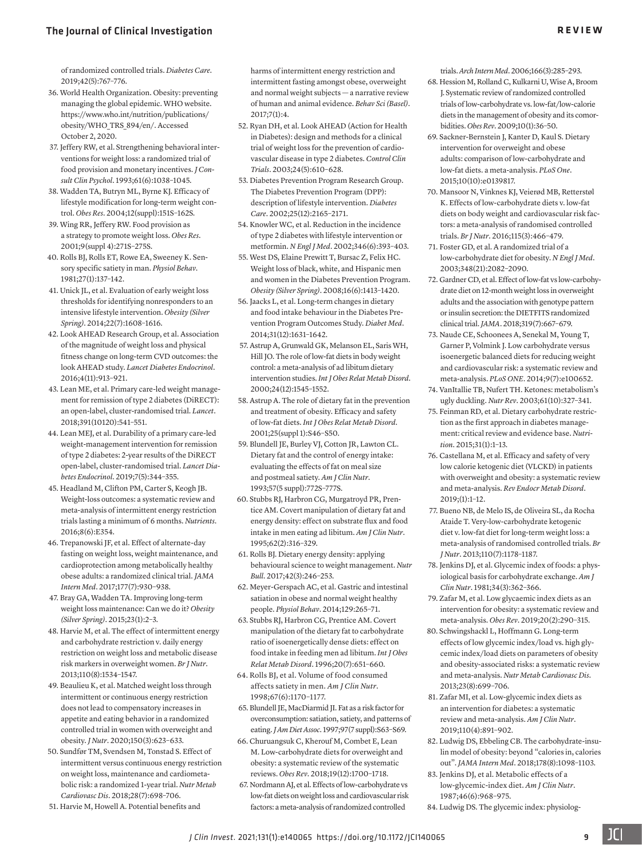[of randomized controlled trials.](https://doi.org/10.2337/dc18-2270) *Diabetes Care*. [2019;42\(5\):767–776.](https://doi.org/10.2337/dc18-2270)

- 36. World Health Organization. Obesity: preventing managing the global epidemic. WHO website. https://www.who.int/nutrition/publications/ obesity/WHO\_TRS\_894/en/. Accessed October 2, 2020.
- <span id="page-9-6"></span>37. [Jeffery RW, et al. Strengthening behavioral inter](https://doi.org/10.1037/0022-006X.61.6.1038)[ventions for weight loss: a randomized trial of](https://doi.org/10.1037/0022-006X.61.6.1038)  [food provision and monetary incentives.](https://doi.org/10.1037/0022-006X.61.6.1038) *J Consult Clin Psychol*[. 1993;61\(6\):1038–1045.](https://doi.org/10.1037/0022-006X.61.6.1038)
- <span id="page-9-7"></span>38. Wadden TA, Butryn ML, Byrne KJ. Efficacy of lifestyle modification for long-term weight control. *Obes Res*. 2004;12(suppl):151S–162S.
- <span id="page-9-8"></span>39. Wing RR, Jeffery RW. Food provision as a strategy to promote weight loss. *Obes Res*. 2001;9(suppl 4):271S–275S.
- <span id="page-9-9"></span>40. [Rolls BJ, Rolls ET, Rowe EA, Sweeney K. Sen](https://doi.org/10.1016/0031-9384(81)90310-3)[sory specific satiety in man.](https://doi.org/10.1016/0031-9384(81)90310-3) *Physiol Behav*. [1981;27\(1\):137–142.](https://doi.org/10.1016/0031-9384(81)90310-3)
- <span id="page-9-10"></span>41. [Unick JL, et al. Evaluation of early weight loss](https://doi.org/10.1002/oby.20777)  [thresholds for identifying nonresponders to an](https://doi.org/10.1002/oby.20777)  [intensive lifestyle intervention.](https://doi.org/10.1002/oby.20777) *Obesity (Silver Spring)*[. 2014;22\(7\):1608–1616.](https://doi.org/10.1002/oby.20777)
- <span id="page-9-11"></span>42. [Look AHEAD Research Group, et al. Association](https://doi.org/10.1016/S2213-8587(16)30162-0)  [of the magnitude of weight loss and physical](https://doi.org/10.1016/S2213-8587(16)30162-0)  [fitness change on long-term CVD outcomes: the](https://doi.org/10.1016/S2213-8587(16)30162-0)  look AHEAD study. *[Lancet Diabetes Endocrinol](https://doi.org/10.1016/S2213-8587(16)30162-0)*. [2016;4\(11\):913–921.](https://doi.org/10.1016/S2213-8587(16)30162-0)
- <span id="page-9-12"></span>43. [Lean ME, et al. Primary care-led weight manage](https://doi.org/10.1016/S0140-6736(17)33102-1)[ment for remission of type 2 diabetes \(DiRECT\):](https://doi.org/10.1016/S0140-6736(17)33102-1)  [an open-label, cluster-randomised trial.](https://doi.org/10.1016/S0140-6736(17)33102-1) *Lancet*. [2018;391\(10120\):541–551.](https://doi.org/10.1016/S0140-6736(17)33102-1)
- <span id="page-9-13"></span>44. [Lean MEJ, et al. Durability of a primary care-led](https://doi.org/10.1016/S2213-8587(19)30068-3)  [weight-management intervention for remission](https://doi.org/10.1016/S2213-8587(19)30068-3)  [of type 2 diabetes: 2-year results of the DiRECT](https://doi.org/10.1016/S2213-8587(19)30068-3)  [open-label, cluster-randomised trial.](https://doi.org/10.1016/S2213-8587(19)30068-3) *Lancet Diabetes Endocrinol*[. 2019;7\(5\):344–355.](https://doi.org/10.1016/S2213-8587(19)30068-3)
- <span id="page-9-0"></span>45. Headland M, Clifton PM, Carter S, Keogh JB. Weight-loss outcomes: a systematic review and meta-analysis of intermittent energy restriction trials lasting a minimum of 6 months. *Nutrients*. 2016;8(6):E354.
- <span id="page-9-1"></span>46. [Trepanowski JF, et al. Effect of alternate-day](https://doi.org/10.1001/jamainternmed.2017.0936)  [fasting on weight loss, weight maintenance, and](https://doi.org/10.1001/jamainternmed.2017.0936)  [cardioprotection among metabolically healthy](https://doi.org/10.1001/jamainternmed.2017.0936)  [obese adults: a randomized clinical trial.](https://doi.org/10.1001/jamainternmed.2017.0936) *JAMA Intern Med*[. 2017;177\(7\):930–938.](https://doi.org/10.1001/jamainternmed.2017.0936)
- <span id="page-9-2"></span>47. [Bray GA, Wadden TA. Improving long-term](https://doi.org/10.1002/oby.20964)  [weight loss maintenance: Can we do it?](https://doi.org/10.1002/oby.20964) *Obesity (Silver Spring)*[. 2015;23\(1\):2–3.](https://doi.org/10.1002/oby.20964)
- <span id="page-9-3"></span>48. [Harvie M, et al. The effect of intermittent energy](https://doi.org/10.1017/S0007114513000792)  [and carbohydrate restriction v. daily energy](https://doi.org/10.1017/S0007114513000792)  [restriction on weight loss and metabolic disease](https://doi.org/10.1017/S0007114513000792)  [risk markers in overweight women.](https://doi.org/10.1017/S0007114513000792) *Br J Nutr*. [2013;110\(8\):1534–1547.](https://doi.org/10.1017/S0007114513000792)
- <span id="page-9-4"></span>49. [Beaulieu K, et al. Matched weight loss through](https://doi.org/10.1093/jn/nxz296)  [intermittent or continuous energy restriction](https://doi.org/10.1093/jn/nxz296)  [does not lead to compensatory increases in](https://doi.org/10.1093/jn/nxz296)  [appetite and eating behavior in a randomized](https://doi.org/10.1093/jn/nxz296)  [controlled trial in women with overweight and](https://doi.org/10.1093/jn/nxz296)  obesity. *J Nutr*[. 2020;150\(3\):623–633.](https://doi.org/10.1093/jn/nxz296)
- <span id="page-9-5"></span>50. [Sundfør TM, Svendsen M, Tonstad S. Effect of](https://doi.org/10.1016/j.numecd.2018.03.009)  [intermittent versus continuous energy restriction](https://doi.org/10.1016/j.numecd.2018.03.009)  [on weight loss, maintenance and cardiometa](https://doi.org/10.1016/j.numecd.2018.03.009)[bolic risk: a randomized 1-year trial.](https://doi.org/10.1016/j.numecd.2018.03.009) *Nutr Metab Cardiovasc Dis*[. 2018;28\(7\):698–706.](https://doi.org/10.1016/j.numecd.2018.03.009)
- <span id="page-9-29"></span>51. Harvie M, Howell A. Potential benefits and

harms of intermittent energy restriction and intermittent fasting amongst obese, overweight and normal weight subjects — a narrative review of human and animal evidence. *Behav Sci (Basel)*. 2017;7(1):4.

- <span id="page-9-30"></span>52. [Ryan DH, et al. Look AHEAD \(Action for Health](https://doi.org/10.1016/S0197-2456(03)00064-3)  [in Diabetes\): design and methods for a clinical](https://doi.org/10.1016/S0197-2456(03)00064-3)  [trial of weight loss for the prevention of cardio](https://doi.org/10.1016/S0197-2456(03)00064-3)[vascular disease in type 2 diabetes.](https://doi.org/10.1016/S0197-2456(03)00064-3) *Control Clin Trials*[. 2003;24\(5\):610–628.](https://doi.org/10.1016/S0197-2456(03)00064-3)
- <span id="page-9-31"></span>53. [Diabetes Prevention Program Research Group.](https://doi.org/10.2337/diacare.25.12.2165)  [The Diabetes Prevention Program \(DPP\):](https://doi.org/10.2337/diacare.25.12.2165)  [description of lifestyle intervention.](https://doi.org/10.2337/diacare.25.12.2165) *Diabetes Care*[. 2002;25\(12\):2165–2171.](https://doi.org/10.2337/diacare.25.12.2165)
- <span id="page-9-32"></span>54. [Knowler WC, et al. Reduction in the incidence](https://doi.org/10.1056/NEJMoa012512)  [of type 2 diabetes with lifestyle intervention or](https://doi.org/10.1056/NEJMoa012512)  metformin. *N Engl J Med*[. 2002;346\(6\):393–403.](https://doi.org/10.1056/NEJMoa012512)
- 55. [West DS, Elaine Prewitt T, Bursac Z, Felix HC.](https://doi.org/10.1038/oby.2008.224)  [Weight loss of black, white, and Hispanic men](https://doi.org/10.1038/oby.2008.224)  [and women in the Diabetes Prevention Program.](https://doi.org/10.1038/oby.2008.224)  *Obesity (Silver Spring)*[. 2008;16\(6\):1413–1420.](https://doi.org/10.1038/oby.2008.224)
- <span id="page-9-33"></span>56. [Jaacks L, et al. Long-term changes in dietary](https://doi.org/10.1111/dme.12500)  [and food intake behaviour in the Diabetes Pre](https://doi.org/10.1111/dme.12500)[vention Program Outcomes Study.](https://doi.org/10.1111/dme.12500) *Diabet Med*. [2014;31\(12\):1631–1642.](https://doi.org/10.1111/dme.12500)
- <span id="page-9-14"></span>57. [Astrup A, Grunwald GK, Melanson EL, Saris WH,](https://doi.org/10.1038/sj.ijo.0801453)  [Hill JO. The role of low-fat diets in body weight](https://doi.org/10.1038/sj.ijo.0801453)  [control: a meta-analysis of ad libitum dietary](https://doi.org/10.1038/sj.ijo.0801453)  intervention studies. *[Int J Obes Relat Metab Disord](https://doi.org/10.1038/sj.ijo.0801453)*. [2000;24\(12\):1545–1552.](https://doi.org/10.1038/sj.ijo.0801453)
- <span id="page-9-15"></span>58. Astrup A. The role of dietary fat in the prevention and treatment of obesity. Efficacy and safety of low-fat diets. *Int J Obes Relat Metab Disord*. 2001;25(suppl 1):S46–S50.
- <span id="page-9-16"></span>59. Blundell JE, Burley VJ, Cotton JR, Lawton CL. Dietary fat and the control of energy intake: evaluating the effects of fat on meal size and postmeal satiety. *Am J Clin Nutr*. 1993;57(5 suppl):772S–777S.
- 60. [Stubbs RJ, Harbron CG, Murgatroyd PR, Pren](https://doi.org/10.1093/ajcn/62.2.316)[tice AM. Covert manipulation of dietary fat and](https://doi.org/10.1093/ajcn/62.2.316)  [energy density: effect on substrate flux and food](https://doi.org/10.1093/ajcn/62.2.316)  [intake in men eating ad libitum.](https://doi.org/10.1093/ajcn/62.2.316) *Am J Clin Nutr*. [1995;62\(2\):316–329.](https://doi.org/10.1093/ajcn/62.2.316)
- <span id="page-9-17"></span>61. [Rolls BJ. Dietary energy density: applying](https://doi.org/10.1111/nbu.12280)  [behavioural science to weight management.](https://doi.org/10.1111/nbu.12280) *Nutr Bull*[. 2017;42\(3\):246–253.](https://doi.org/10.1111/nbu.12280)
- <span id="page-9-18"></span>62. [Meyer-Gerspach AC, et al. Gastric and intestinal](https://doi.org/10.1016/j.physbeh.2014.02.043)  [satiation in obese and normal weight healthy](https://doi.org/10.1016/j.physbeh.2014.02.043)  people. *Physiol Behav*[. 2014;129:265–71.](https://doi.org/10.1016/j.physbeh.2014.02.043)
- 63. Stubbs RJ, Harbron CG, Prentice AM. Covert manipulation of the dietary fat to carbohydrate ratio of isoenergetically dense diets: effect on food intake in feeding men ad libitum. *Int J Obes Relat Metab Disord*. 1996;20(7):651–660.
- <span id="page-9-19"></span>64. [Rolls BJ, et al. Volume of food consumed](https://doi.org/10.1093/ajcn/67.6.1170)  [affects satiety in men.](https://doi.org/10.1093/ajcn/67.6.1170) *Am J Clin Nutr*. [1998;67\(6\):1170–1177.](https://doi.org/10.1093/ajcn/67.6.1170)
- <span id="page-9-20"></span>65. Blundell JE, MacDiarmid JI. Fat as a risk factor for overconsumption: satiation, satiety, and patterns of eating. *J Am Diet Assoc*. 1997;97(7 suppl):S63–S69.
- <span id="page-9-21"></span>66. [Churuangsuk C, Kherouf M, Combet E, Lean](https://doi.org/10.1111/obr.12744)  [M. Low-carbohydrate diets for overweight and](https://doi.org/10.1111/obr.12744)  [obesity: a systematic review of the systematic](https://doi.org/10.1111/obr.12744)  reviews. *Obes Rev*[. 2018;19\(12\):1700–1718.](https://doi.org/10.1111/obr.12744)
- <span id="page-9-22"></span>67. [Nordmann AJ, et al. Effects of low-carbohydrate vs](https://doi.org/10.1001/archinte.166.3.285)  [low-fat diets on weight loss and cardiovascular risk](https://doi.org/10.1001/archinte.166.3.285)  [factors: a meta-analysis of randomized controlled](https://doi.org/10.1001/archinte.166.3.285)

trials. *Arch Intern Med*[. 2006;166\(3\):285–293.](https://doi.org/10.1001/archinte.166.3.285)

- <span id="page-9-23"></span>68. [Hession M, Rolland C, Kulkarni U, Wise A, Broom](https://doi.org/10.1111/j.1467-789X.2008.00518.x)  [J. Systematic review of randomized controlled](https://doi.org/10.1111/j.1467-789X.2008.00518.x)  [trials of low-carbohydrate vs. low-fat/low-calorie](https://doi.org/10.1111/j.1467-789X.2008.00518.x)  [diets in the management of obesity and its comor](https://doi.org/10.1111/j.1467-789X.2008.00518.x)bidities. *Obes Rev*[. 2009;10\(1\):36–50.](https://doi.org/10.1111/j.1467-789X.2008.00518.x)
- <span id="page-9-24"></span>69. [Sackner-Bernstein J, Kanter D, Kaul S. Dietary](https://doi.org/10.1371/journal.pone.0139817)  [intervention for overweight and obese](https://doi.org/10.1371/journal.pone.0139817)  [adults: comparison of low-carbohydrate and](https://doi.org/10.1371/journal.pone.0139817)  [low-fat diets. a meta-analysis.](https://doi.org/10.1371/journal.pone.0139817) *PLoS One*. [2015;10\(10\):e0139817.](https://doi.org/10.1371/journal.pone.0139817)
- <span id="page-9-25"></span>70. [Mansoor N, Vinknes KJ, Veierød MB, Retterstøl](https://doi.org/10.1017/S0007114515004699)  [K. Effects of low-carbohydrate diets v. low-fat](https://doi.org/10.1017/S0007114515004699)  [diets on body weight and cardiovascular risk fac](https://doi.org/10.1017/S0007114515004699)[tors: a meta-analysis of randomised controlled](https://doi.org/10.1017/S0007114515004699)  trials. *Br J Nutr*[. 2016;115\(3\):466–479.](https://doi.org/10.1017/S0007114515004699)
- <span id="page-9-26"></span>71. [Foster GD, et al. A randomized trial of a](https://doi.org/10.1056/NEJMoa022207)  [low-carbohydrate diet for obesity.](https://doi.org/10.1056/NEJMoa022207) *N Engl J Med*. [2003;348\(21\):2082–2090.](https://doi.org/10.1056/NEJMoa022207)
- <span id="page-9-27"></span>72. [Gardner CD, et al. Effect of low-fat vs low-carbohy](https://doi.org/10.1001/jama.2018.0245)[drate diet on 12-month weight loss in overweight](https://doi.org/10.1001/jama.2018.0245)  [adults and the association with genotype pattern](https://doi.org/10.1001/jama.2018.0245)  [or insulin secretion: the DIETFITS randomized](https://doi.org/10.1001/jama.2018.0245)  clinical trial. *JAMA*[. 2018;319\(7\):667–679.](https://doi.org/10.1001/jama.2018.0245)
- <span id="page-9-28"></span>73. [Naude CE, Schoonees A, Senekal M, Young T,](https://doi.org/10.1371/journal.pone.0100652)  [Garner P, Volmink J. Low carbohydrate versus](https://doi.org/10.1371/journal.pone.0100652)  [isoenergetic balanced diets for reducing weight](https://doi.org/10.1371/journal.pone.0100652)  [and cardiovascular risk: a systematic review and](https://doi.org/10.1371/journal.pone.0100652)  meta-analysis. *PLoS ONE*[. 2014;9\(7\):e100652.](https://doi.org/10.1371/journal.pone.0100652)
- <span id="page-9-34"></span>74. [VanItallie TB, Nufert TH. Ketones: metabolism's](https://doi.org/10.1301/nr.2003.oct.327-341)  ugly duckling. *Nutr Rev*[. 2003;61\(10\):327–341.](https://doi.org/10.1301/nr.2003.oct.327-341)
- <span id="page-9-35"></span>75. [Feinman RD, et al. Dietary carbohydrate restric](https://doi.org/10.1016/j.nut.2014.06.011)[tion as the first approach in diabetes manage](https://doi.org/10.1016/j.nut.2014.06.011)[ment: critical review and evidence base.](https://doi.org/10.1016/j.nut.2014.06.011) *Nutrition*[. 2015;31\(1\):1–13.](https://doi.org/10.1016/j.nut.2014.06.011)
- <span id="page-9-36"></span>76. [Castellana M, et al. Efficacy and safety of very](https://doi.org/10.1007/s11154-019-09500-4)  [low calorie ketogenic diet \(VLCKD\) in patients](https://doi.org/10.1007/s11154-019-09500-4)  [with overweight and obesity: a systematic review](https://doi.org/10.1007/s11154-019-09500-4)  and meta-analysis. *[Rev Endocr Metab Disord](https://doi.org/10.1007/s11154-019-09500-4)*. [2019;\(1\):1–12.](https://doi.org/10.1007/s11154-019-09500-4)
- <span id="page-9-37"></span>77. [Bueno NB, de Melo IS, de Oliveira SL, da Rocha](https://doi.org/10.1017/S0007114513000548)  [Ataide T. Very-low-carbohydrate ketogenic](https://doi.org/10.1017/S0007114513000548)  [diet v. low-fat diet for long-term weight loss: a](https://doi.org/10.1017/S0007114513000548)  [meta-analysis of randomised controlled trials.](https://doi.org/10.1017/S0007114513000548) *Br J Nutr*[. 2013;110\(7\):1178–1187.](https://doi.org/10.1017/S0007114513000548)
- <span id="page-9-38"></span>78. [Jenkins DJ, et al. Glycemic index of foods: a phys](https://doi.org/10.1093/ajcn/34.3.362)[iological basis for carbohydrate exchange.](https://doi.org/10.1093/ajcn/34.3.362) *Am J Clin Nutr*[. 1981;34\(3\):362–366.](https://doi.org/10.1093/ajcn/34.3.362)
- <span id="page-9-39"></span>79. [Zafar M, et al. Low glycaemic index diets as an](https://doi.org/10.1111/obr.12791)  [intervention for obesity: a systematic review and](https://doi.org/10.1111/obr.12791)  meta-analysis. *Obes Rev*[. 2019;20\(2\):290–315.](https://doi.org/10.1111/obr.12791)
- <span id="page-9-40"></span>80. [Schwingshackl L, Hoffmann G. Long-term](https://doi.org/10.1016/j.numecd.2013.04.008)  [effects of low glycemic index/load vs. high gly](https://doi.org/10.1016/j.numecd.2013.04.008)[cemic index/load diets on parameters of obesity](https://doi.org/10.1016/j.numecd.2013.04.008)  [and obesity-associated risks: a systematic review](https://doi.org/10.1016/j.numecd.2013.04.008)  and meta-analysis. *[Nutr Metab Cardiovasc Dis](https://doi.org/10.1016/j.numecd.2013.04.008)*. [2013;23\(8\):699–706.](https://doi.org/10.1016/j.numecd.2013.04.008)
- <span id="page-9-41"></span>81. [Zafar MI, et al. Low-glycemic index diets as](https://doi.org/10.1093/ajcn/nqz149)  [an intervention for diabetes: a systematic](https://doi.org/10.1093/ajcn/nqz149)  [review and meta-analysis.](https://doi.org/10.1093/ajcn/nqz149) *Am J Clin Nutr*. [2019;110\(4\):891–902.](https://doi.org/10.1093/ajcn/nqz149)
- <span id="page-9-42"></span>82. [Ludwig DS, Ebbeling CB. The carbohydrate-insu](https://doi.org/10.1001/jamainternmed.2018.2933)[lin model of obesity: beyond "calories in, calories](https://doi.org/10.1001/jamainternmed.2018.2933)  out". *JAMA Intern Med*[. 2018;178\(8\):1098–1103.](https://doi.org/10.1001/jamainternmed.2018.2933)
- 83. [Jenkins DJ, et al. Metabolic effects of a](https://doi.org/10.1093/ajcn/46.6.968)  [low-glycemic-index diet.](https://doi.org/10.1093/ajcn/46.6.968) *Am J Clin Nutr*. [1987;46\(6\):968–975.](https://doi.org/10.1093/ajcn/46.6.968)
- <span id="page-9-43"></span>84. [Ludwig DS. The glycemic index: physiolog-](https://doi.org/10.1001/jama.287.18.2414)